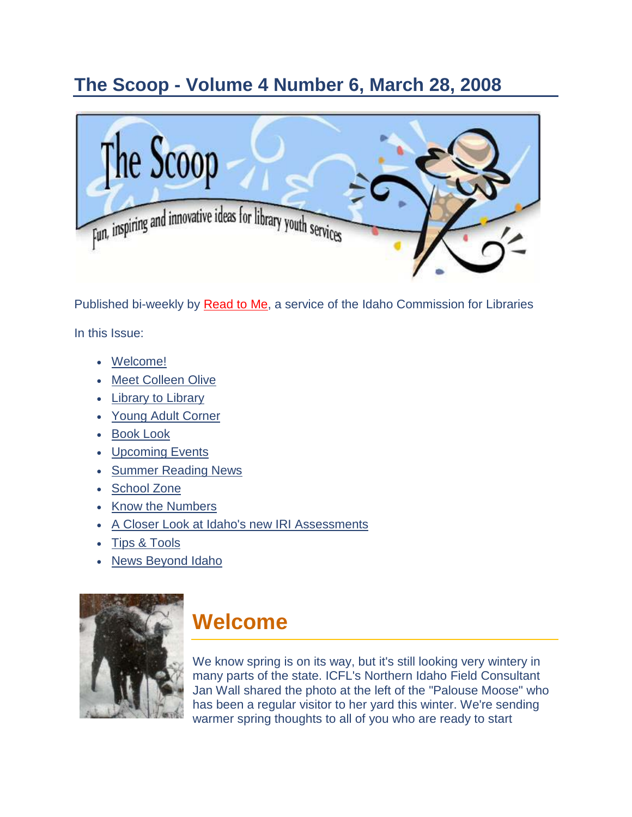## <span id="page-0-0"></span>**The Scoop - Volume 4 Number 6, March 28, 2008**



Published bi-weekly by [Read to Me,](http://164.165.30.103/icfl/readtome) a service of the Idaho Commission for Libraries In this Issue:

- [Welcome!](#page-0-0)
- [Meet Colleen Olive](#page-1-0)
- [Library to Library](#page-2-0)
- [Young Adult Corner](#page-4-0)
- [Book Look](#page-6-0)
- [Upcoming Events](#page-8-0)
- **[Summer Reading News](#page-8-0)**
- [School Zone](#page-9-0)
- [Know the Numbers](#page-10-0)
- [A Closer Look at Idaho's new IRI Assessments](#page-10-1)
- [Tips & Tools](#page-13-0)
- [News Beyond Idaho](#page-14-0)



## **Welcome**

We know spring is on its way, but it's still looking very wintery in many parts of the state. ICFL's Northern Idaho Field Consultant Jan Wall shared the photo at the left of the "Palouse Moose" who has been a regular visitor to her yard this winter. We're sending warmer spring thoughts to all of you who are ready to start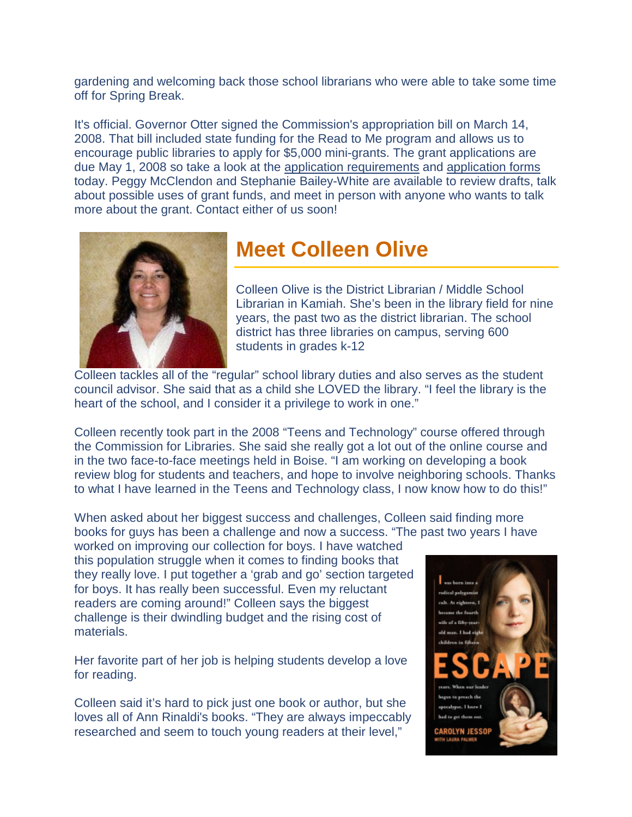<span id="page-1-0"></span>gardening and welcoming back those school librarians who were able to take some time off for Spring Break.

It's official. Governor Otter signed the Commission's appropriation bill on March 14, 2008. That bill included state funding for the Read to Me program and allows us to encourage public libraries to apply for \$5,000 mini-grants. The grant applications are due May 1, 2008 so take a look at the [application requirements](http://164.165.30.103/icfl/files/default/mini-grant-requirements08.doc) and [application forms](http://164.165.30.103/icfl/files/default/mini-grant-ap.doc) today. Peggy McClendon and Stephanie Bailey-White are available to review drafts, talk about possible uses of grant funds, and meet in person with anyone who wants to talk more about the grant. Contact either of us soon!



## **Meet Colleen Olive**

Colleen Olive is the District Librarian / Middle School Librarian in Kamiah. She's been in the library field for nine years, the past two as the district librarian. The school district has three libraries on campus, serving 600 students in grades k-12

Colleen tackles all of the "regular" school library duties and also serves as the student council advisor. She said that as a child she LOVED the library. "I feel the library is the heart of the school, and I consider it a privilege to work in one."

Colleen recently took part in the 2008 "Teens and Technology" course offered through the Commission for Libraries. She said she really got a lot out of the online course and in the two face-to-face meetings held in Boise. "I am working on developing a book review blog for students and teachers, and hope to involve neighboring schools. Thanks to what I have learned in the Teens and Technology class, I now know how to do this!"

When asked about her biggest success and challenges, Colleen said finding more books for guys has been a challenge and now a success. "The past two years I have

worked on improving our collection for boys. I have watched this population struggle when it comes to finding books that they really love. I put together a 'grab and go' section targeted for boys. It has really been successful. Even my reluctant readers are coming around!" Colleen says the biggest challenge is their dwindling budget and the rising cost of materials.

Her favorite part of her job is helping students develop a love for reading.

Colleen said it's hard to pick just one book or author, but she loves all of Ann Rinaldi's books. "They are always impeccably researched and seem to touch young readers at their level,"

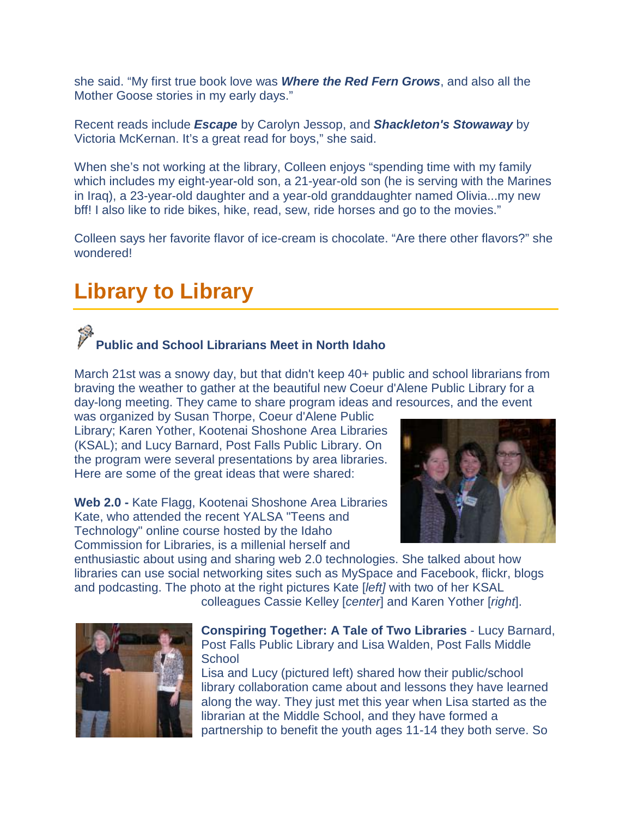she said. "My first true book love was *Where the Red Fern Grows*, and also all the Mother Goose stories in my early days."

Recent reads include *Escape* by Carolyn Jessop, and *Shackleton's Stowaway* by Victoria McKernan. It's a great read for boys," she said.

When she's not working at the library, Colleen enjoys "spending time with my family which includes my eight-year-old son, a 21-year-old son (he is serving with the Marines in Iraq), a 23-year-old daughter and a year-old granddaughter named Olivia...my new bff! I also like to ride bikes, hike, read, sew, ride horses and go to the movies."

Colleen says her favorite flavor of ice-cream is chocolate. "Are there other flavors?" she wondered!

## <span id="page-2-0"></span>**Library to Library**

### **Public and School Librarians Meet in North Idaho**

March 21st was a snowy day, but that didn't keep 40+ public and school librarians from braving the weather to gather at the beautiful new Coeur d'Alene Public Library for a day-long meeting. They came to share program ideas and resources, and the event

was organized by Susan Thorpe, Coeur d'Alene Public Library; Karen Yother, Kootenai Shoshone Area Libraries (KSAL); and Lucy Barnard, Post Falls Public Library. On the program were several presentations by area libraries. Here are some of the great ideas that were shared:

**Web 2.0 -** Kate Flagg, Kootenai Shoshone Area Libraries Kate, who attended the recent YALSA "Teens and Technology" online course hosted by the Idaho Commission for Libraries, is a millenial herself and

enthusiastic about using and sharing web 2.0 technologies. She talked about how libraries can use social networking sites such as MySpace and Facebook, flickr, blogs and podcasting. The photo at the right pictures Kate [*left]* with two of her KSAL colleagues Cassie Kelley [*center*] and Karen Yother [*right*].



**Conspiring Together: A Tale of Two Libraries** - Lucy Barnard, Post Falls Public Library and Lisa Walden, Post Falls Middle **School** 

Lisa and Lucy (pictured left) shared how their public/school library collaboration came about and lessons they have learned along the way. They just met this year when Lisa started as the librarian at the Middle School, and they have formed a partnership to benefit the youth ages 11-14 they both serve. So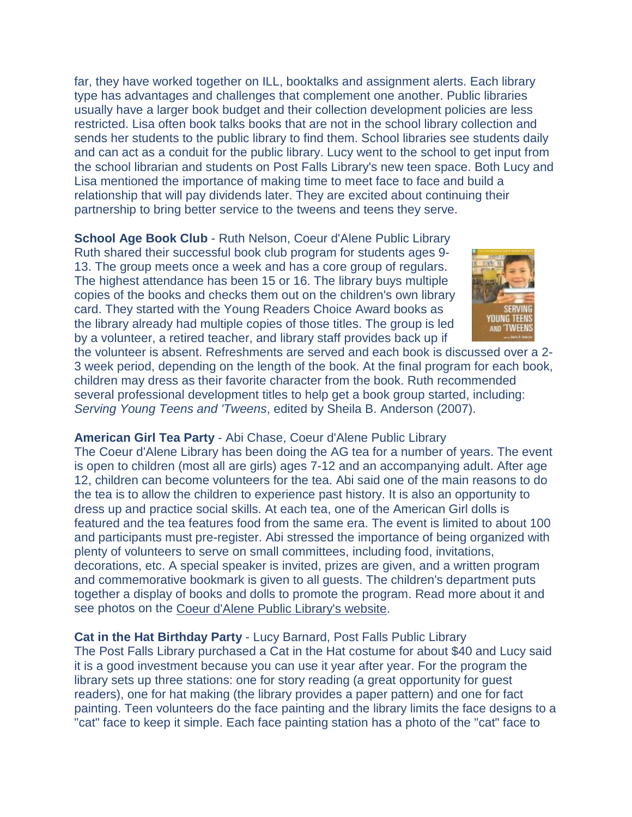far, they have worked together on ILL, booktalks and assignment alerts. Each library type has advantages and challenges that complement one another. Public libraries usually have a larger book budget and their collection development policies are less restricted. Lisa often book talks books that are not in the school library collection and sends her students to the public library to find them. School libraries see students daily and can act as a conduit for the public library. Lucy went to the school to get input from the school librarian and students on Post Falls Library's new teen space. Both Lucy and Lisa mentioned the importance of making time to meet face to face and build a relationship that will pay dividends later. They are excited about continuing their partnership to bring better service to the tweens and teens they serve.

**School Age Book Club** - Ruth Nelson, Coeur d'Alene Public Library Ruth shared their successful book club program for students ages 9- 13. The group meets once a week and has a core group of regulars. The highest attendance has been 15 or 16. The library buys multiple copies of the books and checks them out on the children's own library card. They started with the Young Readers Choice Award books as the library already had multiple copies of those titles. The group is led by a volunteer, a retired teacher, and library staff provides back up if



the volunteer is absent. Refreshments are served and each book is discussed over a 2- 3 week period, depending on the length of the book. At the final program for each book, children may dress as their favorite character from the book. Ruth recommended several professional development titles to help get a book group started, including: *Serving Young Teens and 'Tweens*, edited by Sheila B. Anderson (2007).

#### **American Girl Tea Party** - Abi Chase, Coeur d'Alene Public Library

The Coeur d'Alene Library has been doing the AG tea for a number of years. The event is open to children (most all are girls) ages 7-12 and an accompanying adult. After age 12, children can become volunteers for the tea. Abi said one of the main reasons to do the tea is to allow the children to experience past history. It is also an opportunity to dress up and practice social skills. At each tea, one of the American Girl dolls is featured and the tea features food from the same era. The event is limited to about 100 and participants must pre-register. Abi stressed the importance of being organized with plenty of volunteers to serve on small committees, including food, invitations, decorations, etc. A special speaker is invited, prizes are given, and a written program and commemorative bookmark is given to all guests. The children's department puts together a display of books and dolls to promote the program. Read more about it and see photos on the [Coeur d'Alene Public Library's website.](http://www.cdalibrary.org/Events/AmericanGirl.aspx)

**Cat in the Hat Birthday Party** - Lucy Barnard, Post Falls Public Library

The Post Falls Library purchased a Cat in the Hat costume for about \$40 and Lucy said it is a good investment because you can use it year after year. For the program the library sets up three stations: one for story reading (a great opportunity for guest readers), one for hat making (the library provides a paper pattern) and one for fact painting. Teen volunteers do the face painting and the library limits the face designs to a "cat" face to keep it simple. Each face painting station has a photo of the "cat" face to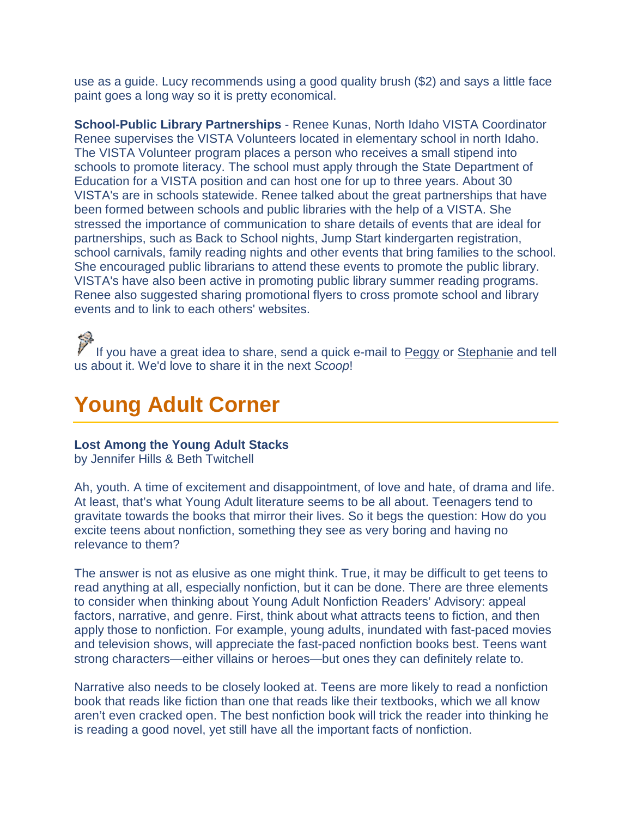use as a guide. Lucy recommends using a good quality brush (\$2) and says a little face paint goes a long way so it is pretty economical.

**School-Public Library Partnerships** - Renee Kunas, North Idaho VISTA Coordinator Renee supervises the VISTA Volunteers located in elementary school in north Idaho. The VISTA Volunteer program places a person who receives a small stipend into schools to promote literacy. The school must apply through the State Department of Education for a VISTA position and can host one for up to three years. About 30 VISTA's are in schools statewide. Renee talked about the great partnerships that have been formed between schools and public libraries with the help of a VISTA. She stressed the importance of communication to share details of events that are ideal for partnerships, such as Back to School nights, Jump Start kindergarten registration, school carnivals, family reading nights and other events that bring families to the school. She encouraged public librarians to attend these events to promote the public library. VISTA's have also been active in promoting public library summer reading programs. Renee also suggested sharing promotional flyers to cross promote school and library events and to link to each others' websites.

If you have a great idea to share, send a quick e-mail to [Peggy](http://164.165.30.103/icfl/contact/Peggy+McClendon+-+Reading+and+Literacy+Coordinator) or [Stephanie](http://164.165.30.103/icfl/contact/Stephanie+Bailey-White+-+Projects+Coordinator) and tell us about it. We'd love to share it in the next *Scoop*!

## <span id="page-4-0"></span>**Young Adult Corner**

#### **Lost Among the Young Adult Stacks**

by Jennifer Hills & Beth Twitchell

Ah, youth. A time of excitement and disappointment, of love and hate, of drama and life. At least, that's what Young Adult literature seems to be all about. Teenagers tend to gravitate towards the books that mirror their lives. So it begs the question: How do you excite teens about nonfiction, something they see as very boring and having no relevance to them?

The answer is not as elusive as one might think. True, it may be difficult to get teens to read anything at all, especially nonfiction, but it can be done. There are three elements to consider when thinking about Young Adult Nonfiction Readers' Advisory: appeal factors, narrative, and genre. First, think about what attracts teens to fiction, and then apply those to nonfiction. For example, young adults, inundated with fast-paced movies and television shows, will appreciate the fast-paced nonfiction books best. Teens want strong characters—either villains or heroes—but ones they can definitely relate to.

Narrative also needs to be closely looked at. Teens are more likely to read a nonfiction book that reads like fiction than one that reads like their textbooks, which we all know aren't even cracked open. The best nonfiction book will trick the reader into thinking he is reading a good novel, yet still have all the important facts of nonfiction.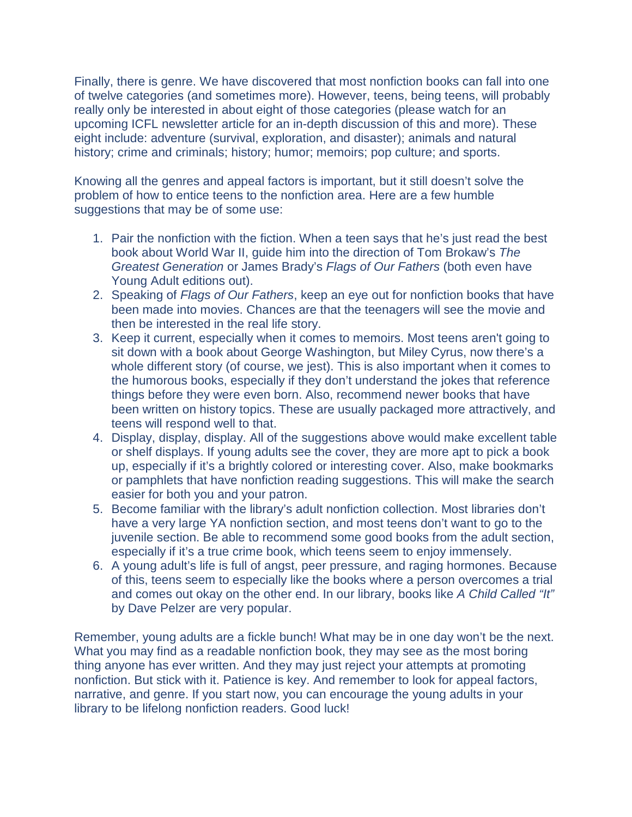Finally, there is genre. We have discovered that most nonfiction books can fall into one of twelve categories (and sometimes more). However, teens, being teens, will probably really only be interested in about eight of those categories (please watch for an upcoming ICFL newsletter article for an in-depth discussion of this and more). These eight include: adventure (survival, exploration, and disaster); animals and natural history; crime and criminals; history; humor; memoirs; pop culture; and sports.

Knowing all the genres and appeal factors is important, but it still doesn't solve the problem of how to entice teens to the nonfiction area. Here are a few humble suggestions that may be of some use:

- 1. Pair the nonfiction with the fiction. When a teen says that he's just read the best book about World War II, guide him into the direction of Tom Brokaw's *The Greatest Generation* or James Brady's *Flags of Our Fathers* (both even have Young Adult editions out).
- 2. Speaking of *Flags of Our Fathers*, keep an eye out for nonfiction books that have been made into movies. Chances are that the teenagers will see the movie and then be interested in the real life story.
- 3. Keep it current, especially when it comes to memoirs. Most teens aren't going to sit down with a book about George Washington, but Miley Cyrus, now there's a whole different story (of course, we jest). This is also important when it comes to the humorous books, especially if they don't understand the jokes that reference things before they were even born. Also, recommend newer books that have been written on history topics. These are usually packaged more attractively, and teens will respond well to that.
- 4. Display, display, display. All of the suggestions above would make excellent table or shelf displays. If young adults see the cover, they are more apt to pick a book up, especially if it's a brightly colored or interesting cover. Also, make bookmarks or pamphlets that have nonfiction reading suggestions. This will make the search easier for both you and your patron.
- 5. Become familiar with the library's adult nonfiction collection. Most libraries don't have a very large YA nonfiction section, and most teens don't want to go to the juvenile section. Be able to recommend some good books from the adult section, especially if it's a true crime book, which teens seem to enjoy immensely.
- 6. A young adult's life is full of angst, peer pressure, and raging hormones. Because of this, teens seem to especially like the books where a person overcomes a trial and comes out okay on the other end. In our library, books like *A Child Called "It"* by Dave Pelzer are very popular.

Remember, young adults are a fickle bunch! What may be in one day won't be the next. What you may find as a readable nonfiction book, they may see as the most boring thing anyone has ever written. And they may just reject your attempts at promoting nonfiction. But stick with it. Patience is key. And remember to look for appeal factors, narrative, and genre. If you start now, you can encourage the young adults in your library to be lifelong nonfiction readers. Good luck!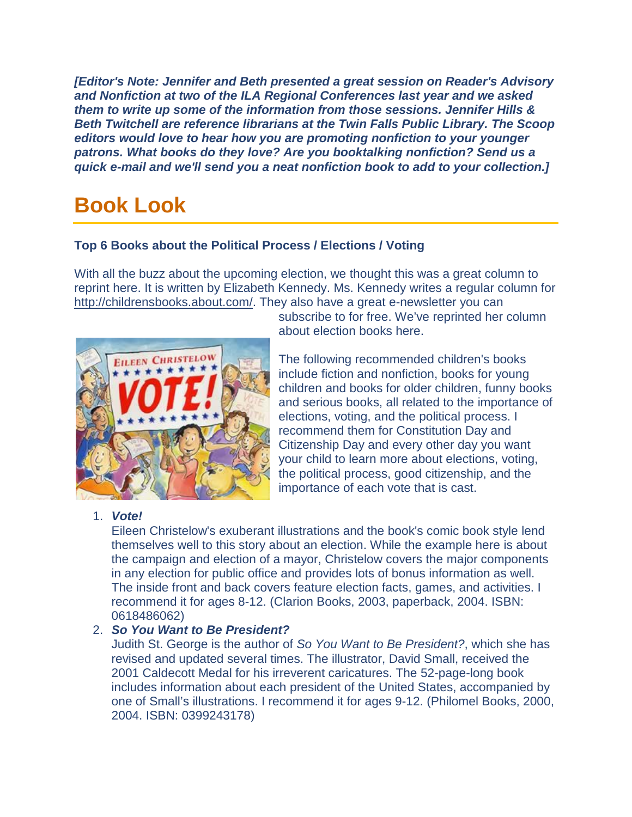*[Editor's Note: Jennifer and Beth presented a great session on Reader's Advisory and Nonfiction at two of the ILA Regional Conferences last year and we asked them to write up some of the information from those sessions. Jennifer Hills & Beth Twitchell are reference librarians at the Twin Falls Public Library. The Scoop editors would love to hear how you are promoting nonfiction to your younger patrons. What books do they love? Are you booktalking nonfiction? Send us a quick e-mail and we'll send you a neat nonfiction book to add to your collection.]*

## <span id="page-6-0"></span>**Book Look**

#### **Top 6 Books about the Political Process / Elections / Voting**

With all the buzz about the upcoming election, we thought this was a great column to reprint here. It is written by Elizabeth Kennedy. Ms. Kennedy writes a regular column for [http://childrensbooks.about.com/.](http://childrensbooks.about.com/) They also have a great e-newsletter you can



subscribe to for free. We've reprinted her column about election books here.

The following recommended children's books include fiction and nonfiction, books for young children and books for older children, funny books and serious books, all related to the importance of elections, voting, and the political process. I recommend them for Constitution Day and Citizenship Day and every other day you want your child to learn more about elections, voting, the political process, good citizenship, and the importance of each vote that is cast.

#### 1. *Vote!*

Eileen Christelow's exuberant illustrations and the book's comic book style lend themselves well to this story about an election. While the example here is about the campaign and election of a mayor, Christelow covers the major components in any election for public office and provides lots of bonus information as well. The inside front and back covers feature election facts, games, and activities. I recommend it for ages 8-12. (Clarion Books, 2003, paperback, 2004. ISBN: 0618486062)

### 2. *So You Want to Be President?*

Judith St. George is the author of *So You Want to Be President?*, which she has revised and updated several times. The illustrator, David Small, received the 2001 Caldecott Medal for his irreverent caricatures. The 52-page-long book includes information about each president of the United States, accompanied by one of Small's illustrations. I recommend it for ages 9-12. (Philomel Books, 2000, 2004. ISBN: 0399243178)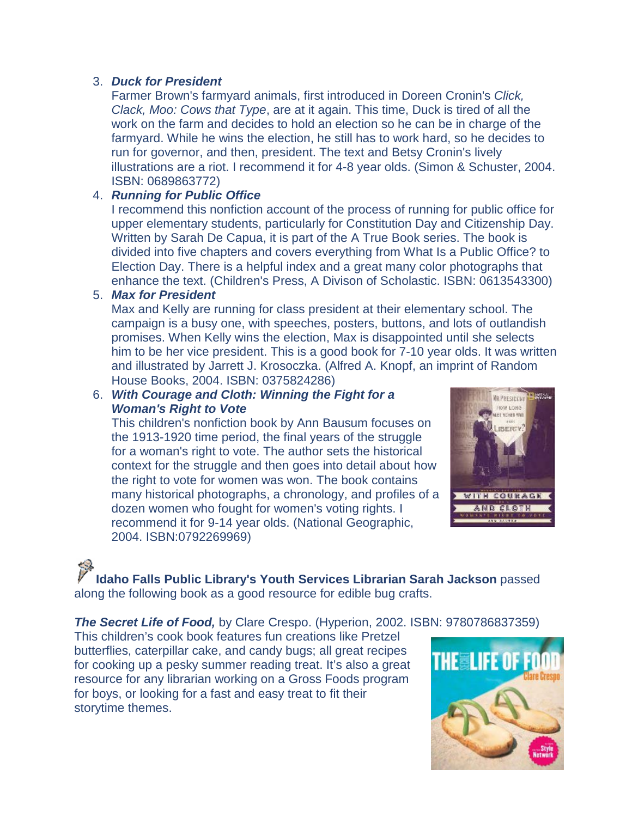#### 3. *Duck for President*

Farmer Brown's farmyard animals, first introduced in Doreen Cronin's *Click, Clack, Moo: Cows that Type*, are at it again. This time, Duck is tired of all the work on the farm and decides to hold an election so he can be in charge of the farmyard. While he wins the election, he still has to work hard, so he decides to run for governor, and then, president. The text and Betsy Cronin's lively illustrations are a riot. I recommend it for 4-8 year olds. (Simon & Schuster, 2004. ISBN: 0689863772)

#### 4. *Running for Public Office*

I recommend this nonfiction account of the process of running for public office for upper elementary students, particularly for Constitution Day and Citizenship Day. Written by Sarah De Capua, it is part of the A True Book series. The book is divided into five chapters and covers everything from What Is a Public Office? to Election Day. There is a helpful index and a great many color photographs that enhance the text. (Children's Press, A Divison of Scholastic. ISBN: 0613543300)

#### 5. *Max for President*

Max and Kelly are running for class president at their elementary school. The campaign is a busy one, with speeches, posters, buttons, and lots of outlandish promises. When Kelly wins the election, Max is disappointed until she selects him to be her vice president. This is a good book for 7-10 year olds. It was written and illustrated by Jarrett J. Krosoczka. (Alfred A. Knopf, an imprint of Random House Books, 2004. ISBN: 0375824286)

#### 6. *With Courage and Cloth: Winning the Fight for a Woman's Right to Vote*

This children's nonfiction book by Ann Bausum focuses on the 1913-1920 time period, the final years of the struggle for a woman's right to vote. The author sets the historical context for the struggle and then goes into detail about how the right to vote for women was won. The book contains many historical photographs, a chronology, and profiles of a dozen women who fought for women's voting rights. I recommend it for 9-14 year olds. (National Geographic, 2004. ISBN:0792269969)



**Idaho Falls Public Library's Youth Services Librarian Sarah Jackson** passed along the following book as a good resource for edible bug crafts.

*The Secret Life of Food,* by Clare Crespo. (Hyperion, 2002. ISBN: 9780786837359)

This children's cook book features fun creations like Pretzel butterflies, caterpillar cake, and candy bugs; all great recipes for cooking up a pesky summer reading treat. It's also a great resource for any librarian working on a Gross Foods program for boys, or looking for a fast and easy treat to fit their storytime themes.

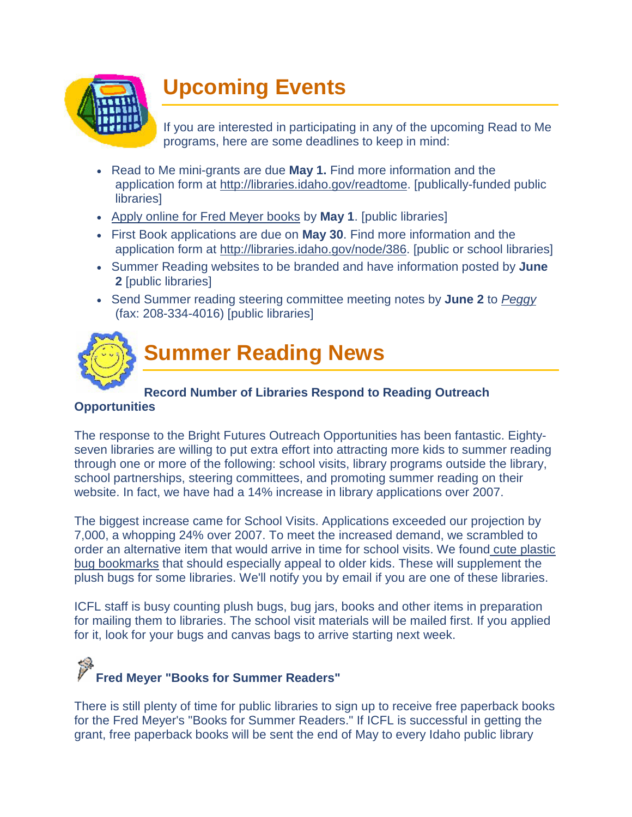<span id="page-8-0"></span>

## **Upcoming Events**

If you are interested in participating in any of the upcoming Read to Me programs, here are some deadlines to keep in mind:

- Read to Me mini-grants are due **May 1.** Find more information and the application form at [http://libraries.idaho.gov/readtome.](http://164.165.30.103/icfl/readtome) [publically-funded public **libraries1**
- [Apply online for Fred Meyer books](http://www.surveymonkey.com/s.aspx?sm=aC280TxQUUrWYqxVrYNjEQ_3d_3d) by **May 1**. [public libraries]
- First Book applications are due on **May 30**. Find more information and the application form at [http://libraries.idaho.gov/node/386.](http://164.165.30.103/icfl/node/386) [public or school libraries]
- Summer Reading websites to be branded and have information posted by **June 2** [public libraries]
- Send Summer reading steering committee meeting notes by **June 2** to *[Peggy](http://164.165.30.103/icfl/contact/Peggy+McClendon+-+Reading+and+Literacy+Coordinator)* (fax: 208-334-4016) [public libraries]



## **Summer Reading News**

#### **Record Number of Libraries Respond to Reading Outreach**

#### **Opportunities**

The response to the Bright Futures Outreach Opportunities has been fantastic. Eightyseven libraries are willing to put extra effort into attracting more kids to summer reading through one or more of the following: school visits, library programs outside the library, school partnerships, steering committees, and promoting summer reading on their website. In fact, we have had a 14% increase in library applications over 2007.

The biggest increase came for School Visits. Applications exceeded our projection by 7,000, a whopping 24% over 2007. To meet the increased demand, we scrambled to order an alternative item that would arrive in time for school visits. We found [cute plastic](http://www.fun-n-nuf.com/bulk.html)  [bug bookmarks](http://www.fun-n-nuf.com/bulk.html) that should especially appeal to older kids. These will supplement the plush bugs for some libraries. We'll notify you by email if you are one of these libraries.

ICFL staff is busy counting plush bugs, bug jars, books and other items in preparation for mailing them to libraries. The school visit materials will be mailed first. If you applied for it, look for your bugs and canvas bags to arrive starting next week.

# **Fred Meyer "Books for Summer Readers"**

There is still plenty of time for public libraries to sign up to receive free paperback books for the Fred Meyer's "Books for Summer Readers." If ICFL is successful in getting the grant, free paperback books will be sent the end of May to every Idaho public library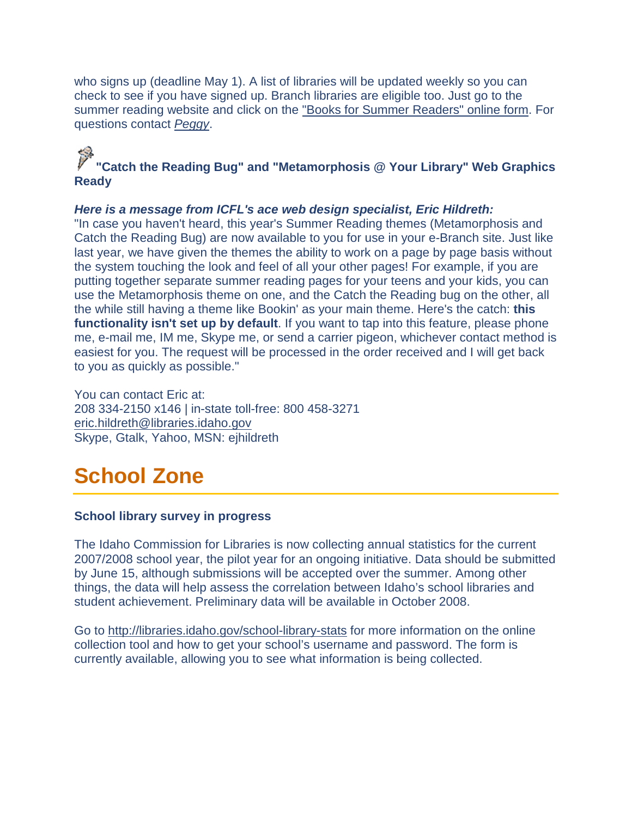who signs up (deadline May 1). A list of libraries will be updated weekly so you can check to see if you have signed up. Branch libraries are eligible too. Just go to the summer reading website and click on the ["Books for Summer Readers" online form.](http://www.surveymonkey.com/s.aspx?sm=aC280TxQUUrWYqxVrYNjEQ_3d_3d) For questions contact *[Peggy](http://164.165.30.103/icfl/contact/Peggy+McClendon+-+Reading+and+Literacy+Coordinator)*.

### **"Catch the Reading Bug" and "Metamorphosis @ Your Library" Web Graphics Ready**

#### *Here is a message from ICFL's ace web design specialist, Eric Hildreth:*

"In case you haven't heard, this year's Summer Reading themes (Metamorphosis and Catch the Reading Bug) are now available to you for use in your e-Branch site. Just like last year, we have given the themes the ability to work on a page by page basis without the system touching the look and feel of all your other pages! For example, if you are putting together separate summer reading pages for your teens and your kids, you can use the Metamorphosis theme on one, and the Catch the Reading bug on the other, all the while still having a theme like Bookin' as your main theme. Here's the catch: **this functionality isn't set up by default**. If you want to tap into this feature, please phone me, e-mail me, IM me, Skype me, or send a carrier pigeon, whichever contact method is easiest for you. The request will be processed in the order received and I will get back to you as quickly as possible."

You can contact Eric at: 208 334-2150 x146 | in-state toll-free: 800 458-3271 [eric.hildreth@libraries.idaho.gov](mailto:eric.hildreth@libraries.idaho.gov) Skype, Gtalk, Yahoo, MSN: ejhildreth

## <span id="page-9-0"></span>**School Zone**

#### **School library survey in progress**

The Idaho Commission for Libraries is now collecting annual statistics for the current 2007/2008 school year, the pilot year for an ongoing initiative. Data should be submitted by June 15, although submissions will be accepted over the summer. Among other things, the data will help assess the correlation between Idaho's school libraries and student achievement. Preliminary data will be available in October 2008.

Go to [http://libraries.idaho.gov/school-library-stats](http://164.165.30.103/icfl/school-library-stats) for more information on the online collection tool and how to get your school's username and password. The form is currently available, allowing you to see what information is being collected.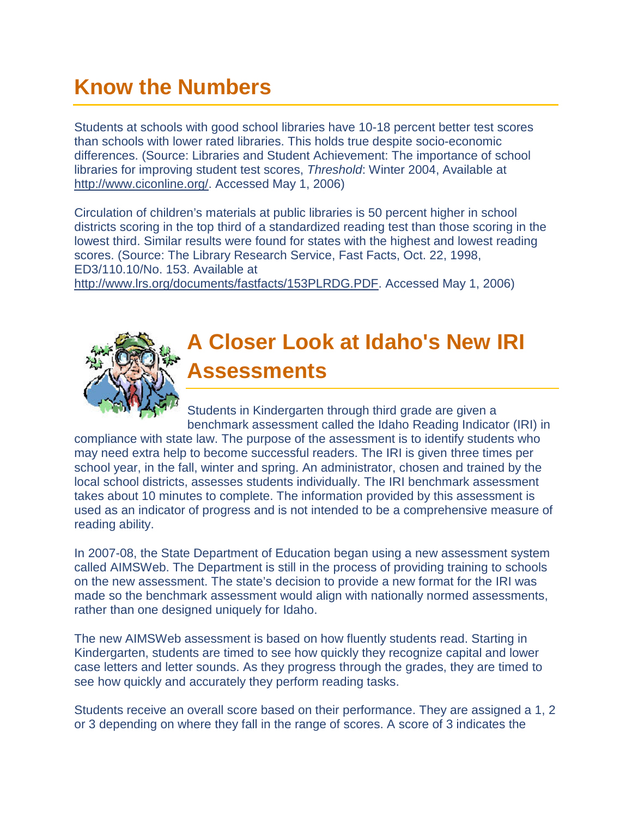## <span id="page-10-1"></span><span id="page-10-0"></span>**Know the Numbers**

Students at schools with good school libraries have 10-18 percent better test scores than schools with lower rated libraries. This holds true despite socio-economic differences. (Source: Libraries and Student Achievement: The importance of school libraries for improving student test scores, *Threshold*: Winter 2004, Available at [http://www.ciconline.org/.](http://www.ciconline.org/) Accessed May 1, 2006)

Circulation of children's materials at public libraries is 50 percent higher in school districts scoring in the top third of a standardized reading test than those scoring in the lowest third. Similar results were found for states with the highest and lowest reading scores. (Source: The Library Research Service, Fast Facts, Oct. 22, 1998, ED3/110.10/No. 153. Available at

[http://www.lrs.org/documents/fastfacts/153PLRDG.PDF.](http://www.lrs.org/documents/fastfacts/153PLRDG.PDF) Accessed May 1, 2006)



## **A Closer Look at Idaho's New IRI Assessments**

Students in Kindergarten through third grade are given a benchmark assessment called the Idaho Reading Indicator (IRI) in

compliance with state law. The purpose of the assessment is to identify students who may need extra help to become successful readers. The IRI is given three times per school year, in the fall, winter and spring. An administrator, chosen and trained by the local school districts, assesses students individually. The IRI benchmark assessment takes about 10 minutes to complete. The information provided by this assessment is used as an indicator of progress and is not intended to be a comprehensive measure of reading ability.

In 2007-08, the State Department of Education began using a new assessment system called AIMSWeb. The Department is still in the process of providing training to schools on the new assessment. The state's decision to provide a new format for the IRI was made so the benchmark assessment would align with nationally normed assessments, rather than one designed uniquely for Idaho.

The new AIMSWeb assessment is based on how fluently students read. Starting in Kindergarten, students are timed to see how quickly they recognize capital and lower case letters and letter sounds. As they progress through the grades, they are timed to see how quickly and accurately they perform reading tasks.

Students receive an overall score based on their performance. They are assigned a 1, 2 or 3 depending on where they fall in the range of scores. A score of 3 indicates the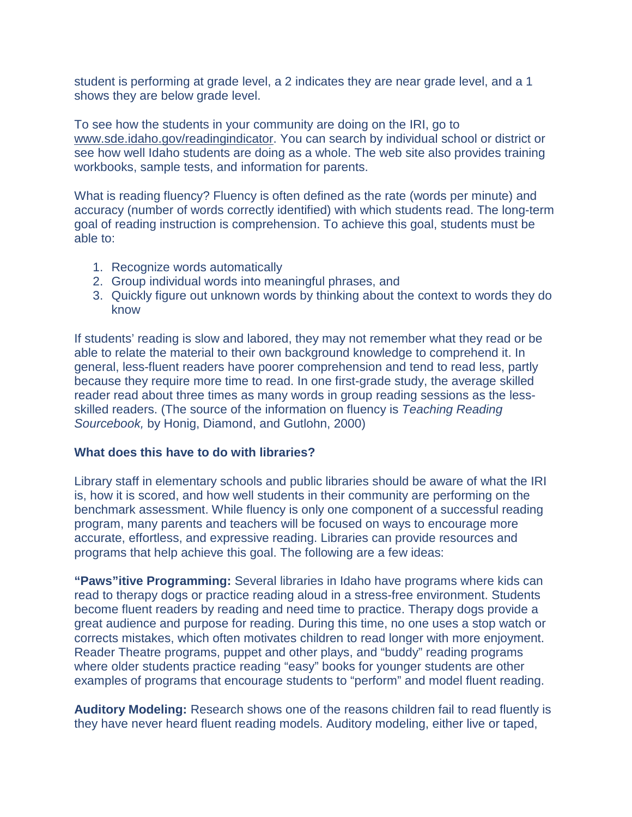student is performing at grade level, a 2 indicates they are near grade level, and a 1 shows they are below grade level.

To see how the students in your community are doing on the IRI, go to [www.sde.idaho.gov/readingindicator.](http://www.sde.idaho.gov/readingindicator) You can search by individual school or district or see how well Idaho students are doing as a whole. The web site also provides training workbooks, sample tests, and information for parents.

What is reading fluency? Fluency is often defined as the rate (words per minute) and accuracy (number of words correctly identified) with which students read. The long-term goal of reading instruction is comprehension. To achieve this goal, students must be able to:

- 1. Recognize words automatically
- 2. Group individual words into meaningful phrases, and
- 3. Quickly figure out unknown words by thinking about the context to words they do know

If students' reading is slow and labored, they may not remember what they read or be able to relate the material to their own background knowledge to comprehend it. In general, less-fluent readers have poorer comprehension and tend to read less, partly because they require more time to read. In one first-grade study, the average skilled reader read about three times as many words in group reading sessions as the lessskilled readers. (The source of the information on fluency is *Teaching Reading Sourcebook,* by Honig, Diamond, and Gutlohn, 2000)

#### **What does this have to do with libraries?**

Library staff in elementary schools and public libraries should be aware of what the IRI is, how it is scored, and how well students in their community are performing on the benchmark assessment. While fluency is only one component of a successful reading program, many parents and teachers will be focused on ways to encourage more accurate, effortless, and expressive reading. Libraries can provide resources and programs that help achieve this goal. The following are a few ideas:

**"Paws"itive Programming:** Several libraries in Idaho have programs where kids can read to therapy dogs or practice reading aloud in a stress-free environment. Students become fluent readers by reading and need time to practice. Therapy dogs provide a great audience and purpose for reading. During this time, no one uses a stop watch or corrects mistakes, which often motivates children to read longer with more enjoyment. Reader Theatre programs, puppet and other plays, and "buddy" reading programs where older students practice reading "easy" books for younger students are other examples of programs that encourage students to "perform" and model fluent reading.

**Auditory Modeling:** Research shows one of the reasons children fail to read fluently is they have never heard fluent reading models. Auditory modeling, either live or taped,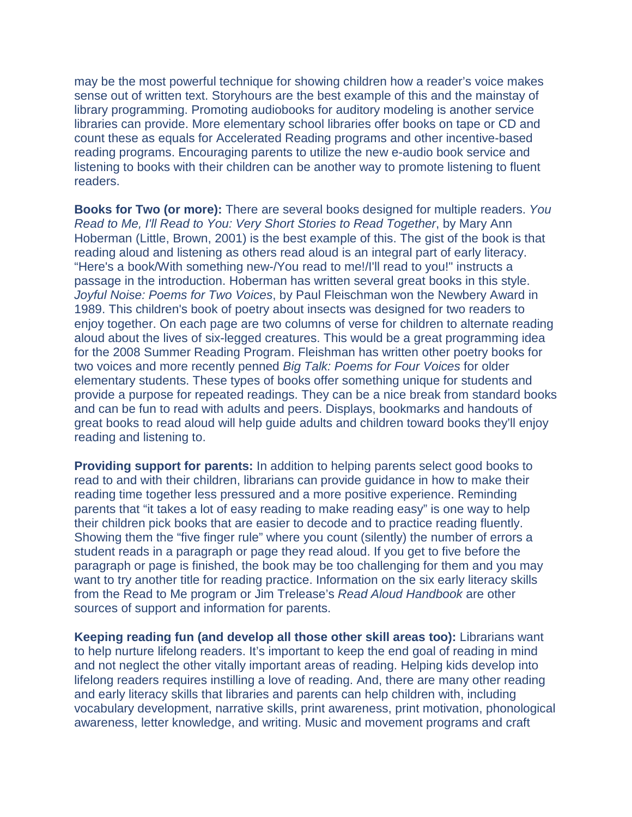may be the most powerful technique for showing children how a reader's voice makes sense out of written text. Storyhours are the best example of this and the mainstay of library programming. Promoting audiobooks for auditory modeling is another service libraries can provide. More elementary school libraries offer books on tape or CD and count these as equals for Accelerated Reading programs and other incentive-based reading programs. Encouraging parents to utilize the new e-audio book service and listening to books with their children can be another way to promote listening to fluent readers.

**Books for Two (or more):** There are several books designed for multiple readers. *You Read to Me, I'll Read to You: Very Short Stories to Read Together*, by Mary Ann Hoberman (Little, Brown, 2001) is the best example of this. The gist of the book is that reading aloud and listening as others read aloud is an integral part of early literacy. "Here's a book/With something new-/You read to me!/I'll read to you!" instructs a passage in the introduction. Hoberman has written several great books in this style. *Joyful Noise: Poems for Two Voices*, by Paul Fleischman won the Newbery Award in 1989. This children's book of poetry about insects was designed for two readers to enjoy together. On each page are two columns of verse for children to alternate reading aloud about the lives of six-legged creatures. This would be a great programming idea for the 2008 Summer Reading Program. Fleishman has written other poetry books for two voices and more recently penned *Big Talk: Poems for Four Voices* for older elementary students. These types of books offer something unique for students and provide a purpose for repeated readings. They can be a nice break from standard books and can be fun to read with adults and peers. Displays, bookmarks and handouts of great books to read aloud will help guide adults and children toward books they'll enjoy reading and listening to.

**Providing support for parents:** In addition to helping parents select good books to read to and with their children, librarians can provide guidance in how to make their reading time together less pressured and a more positive experience. Reminding parents that "it takes a lot of easy reading to make reading easy" is one way to help their children pick books that are easier to decode and to practice reading fluently. Showing them the "five finger rule" where you count (silently) the number of errors a student reads in a paragraph or page they read aloud. If you get to five before the paragraph or page is finished, the book may be too challenging for them and you may want to try another title for reading practice. Information on the six early literacy skills from the Read to Me program or Jim Trelease's *Read Aloud Handbook* are other sources of support and information for parents.

**Keeping reading fun (and develop all those other skill areas too):** Librarians want to help nurture lifelong readers. It's important to keep the end goal of reading in mind and not neglect the other vitally important areas of reading. Helping kids develop into lifelong readers requires instilling a love of reading. And, there are many other reading and early literacy skills that libraries and parents can help children with, including vocabulary development, narrative skills, print awareness, print motivation, phonological awareness, letter knowledge, and writing. Music and movement programs and craft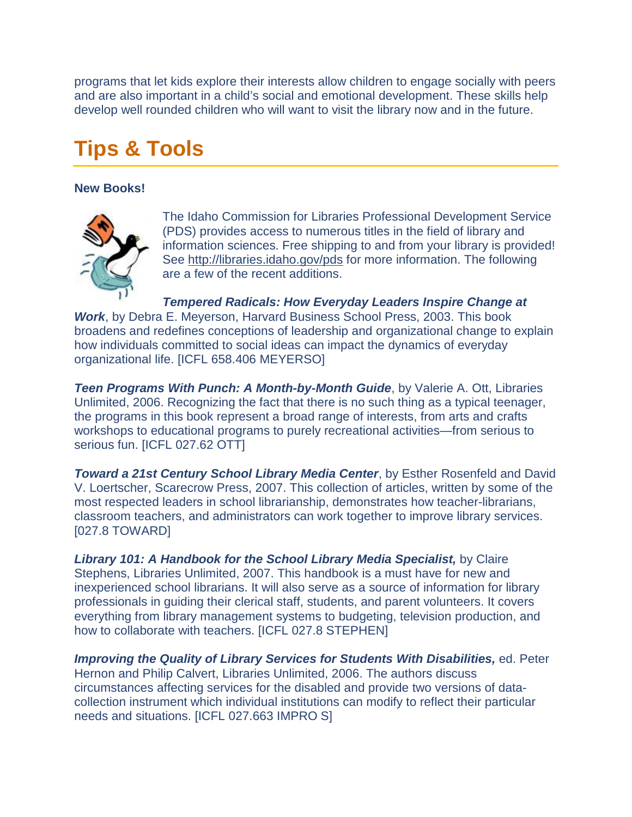programs that let kids explore their interests allow children to engage socially with peers and are also important in a child's social and emotional development. These skills help develop well rounded children who will want to visit the library now and in the future.

## <span id="page-13-0"></span>**Tips & Tools**

#### **New Books!**



The Idaho Commission for Libraries Professional Development Service (PDS) provides access to numerous titles in the field of library and information sciences. Free shipping to and from your library is provided! See [http://libraries.idaho.gov/pds](http://164.165.30.103/icfl/pds) for more information. The following are a few of the recent additions.

*Tempered Radicals: How Everyday Leaders Inspire Change at* 

*Work*, by Debra E. Meyerson, Harvard Business School Press, 2003. This book broadens and redefines conceptions of leadership and organizational change to explain how individuals committed to social ideas can impact the dynamics of everyday organizational life. [ICFL 658.406 MEYERSO]

*Teen Programs With Punch: A Month-by-Month Guide*, by Valerie A. Ott, Libraries Unlimited, 2006. Recognizing the fact that there is no such thing as a typical teenager, the programs in this book represent a broad range of interests, from arts and crafts workshops to educational programs to purely recreational activities—from serious to serious fun. [ICFL 027.62 OTT]

*Toward a 21st Century School Library Media Center*, by Esther Rosenfeld and David V. Loertscher, Scarecrow Press, 2007. This collection of articles, written by some of the most respected leaders in school librarianship, demonstrates how teacher-librarians, classroom teachers, and administrators can work together to improve library services. [027.8 TOWARD]

*Library 101: A Handbook for the School Library Media Specialist,* by Claire Stephens, Libraries Unlimited, 2007. This handbook is a must have for new and inexperienced school librarians. It will also serve as a source of information for library professionals in guiding their clerical staff, students, and parent volunteers. It covers everything from library management systems to budgeting, television production, and how to collaborate with teachers. [ICFL 027.8 STEPHEN]

*Improving the Quality of Library Services for Students With Disabilities,* ed. Peter Hernon and Philip Calvert, Libraries Unlimited, 2006. The authors discuss circumstances affecting services for the disabled and provide two versions of datacollection instrument which individual institutions can modify to reflect their particular needs and situations. [ICFL 027.663 IMPRO S]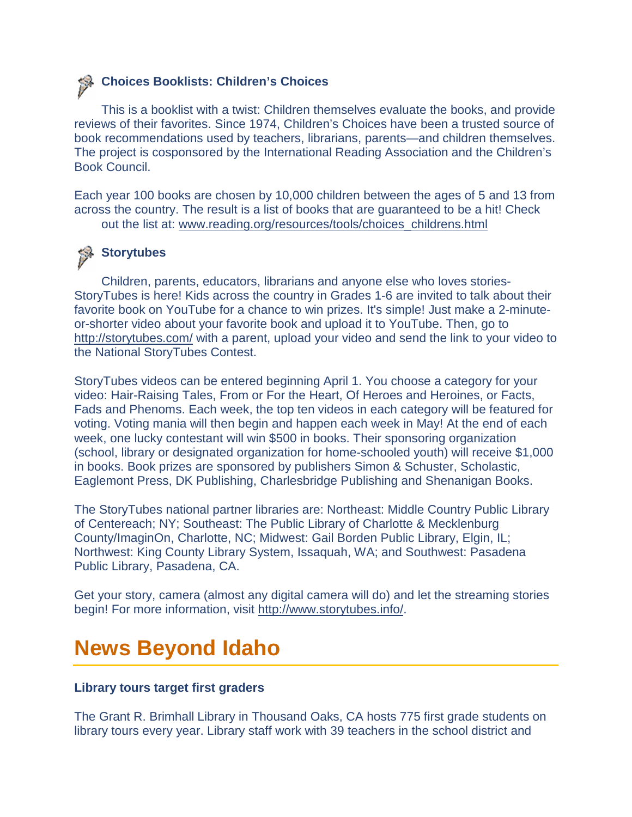### **Choices Booklists: Children's Choices**

This is a booklist with a twist: Children themselves evaluate the books, and provide reviews of their favorites. Since 1974, Children's Choices have been a trusted source of book recommendations used by teachers, librarians, parents—and children themselves. The project is cosponsored by the International Reading Association and the Children's Book Council.

Each year 100 books are chosen by 10,000 children between the ages of 5 and 13 from across the country. The result is a list of books that are guaranteed to be a hit! Check out the list at: [www.reading.org/resources/tools/choices\\_childrens.html](http://www.reading.org/resources/tools/choices_childrens.html)

### **Storytubes**

Children, parents, educators, librarians and anyone else who loves stories-StoryTubes is here! Kids across the country in Grades 1-6 are invited to talk about their favorite book on YouTube for a chance to win prizes. It's simple! Just make a 2-minuteor-shorter video about your favorite book and upload it to YouTube. Then, go to <http://storytubes.com/> with a parent, upload your video and send the link to your video to the National StoryTubes Contest.

StoryTubes videos can be entered beginning April 1. You choose a category for your video: Hair-Raising Tales, From or For the Heart, Of Heroes and Heroines, or Facts, Fads and Phenoms. Each week, the top ten videos in each category will be featured for voting. Voting mania will then begin and happen each week in May! At the end of each week, one lucky contestant will win \$500 in books. Their sponsoring organization (school, library or designated organization for home-schooled youth) will receive \$1,000 in books. Book prizes are sponsored by publishers Simon & Schuster, Scholastic, Eaglemont Press, DK Publishing, Charlesbridge Publishing and Shenanigan Books.

The StoryTubes national partner libraries are: Northeast: Middle Country Public Library of Centereach; NY; Southeast: The Public Library of Charlotte & Mecklenburg County/ImaginOn, Charlotte, NC; Midwest: Gail Borden Public Library, Elgin, IL; Northwest: King County Library System, Issaquah, WA; and Southwest: Pasadena Public Library, Pasadena, CA.

Get your story, camera (almost any digital camera will do) and let the streaming stories begin! For more information, visit [http://www.storytubes.info/.](http://www.storytubes.info/)

## <span id="page-14-0"></span>**News Beyond Idaho**

#### **Library tours target first graders**

The Grant R. Brimhall Library in Thousand Oaks, CA hosts 775 first grade students on library tours every year. Library staff work with 39 teachers in the school district and